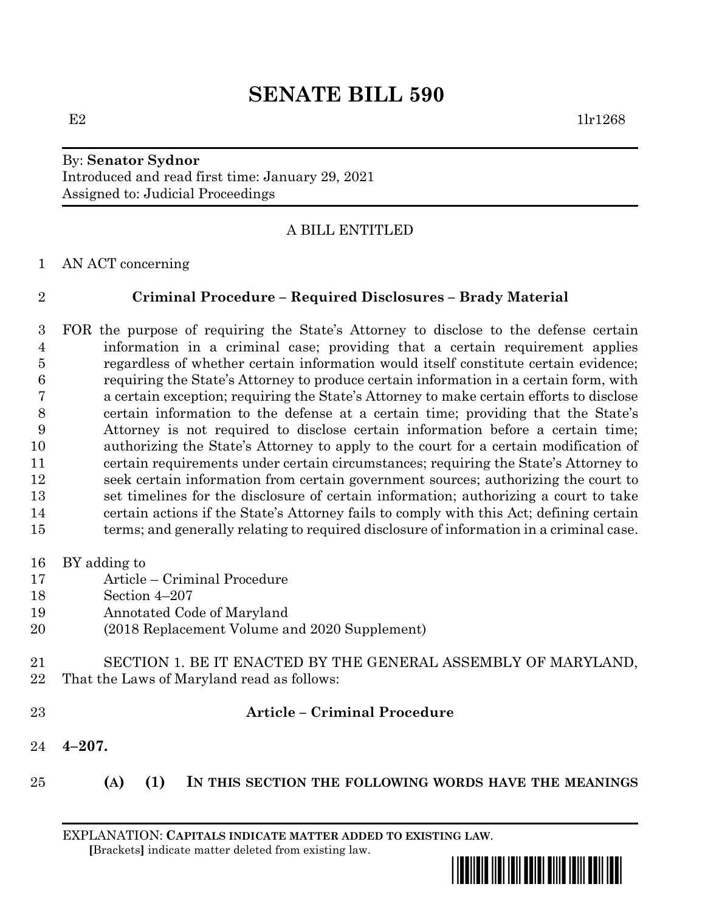# By: **Senator Sydnor** Introduced and read first time: January 29, 2021 Assigned to: Judicial Proceedings

# A BILL ENTITLED

AN ACT concerning

# **Criminal Procedure – Required Disclosures – Brady Material**

 FOR the purpose of requiring the State's Attorney to disclose to the defense certain information in a criminal case; providing that a certain requirement applies regardless of whether certain information would itself constitute certain evidence; requiring the State's Attorney to produce certain information in a certain form, with a certain exception; requiring the State's Attorney to make certain efforts to disclose certain information to the defense at a certain time; providing that the State's Attorney is not required to disclose certain information before a certain time; authorizing the State's Attorney to apply to the court for a certain modification of certain requirements under certain circumstances; requiring the State's Attorney to seek certain information from certain government sources; authorizing the court to set timelines for the disclosure of certain information; authorizing a court to take certain actions if the State's Attorney fails to comply with this Act; defining certain terms; and generally relating to required disclosure of information in a criminal case.

### BY adding to

- Article Criminal Procedure
- Section 4–207
- Annotated Code of Maryland
- (2018 Replacement Volume and 2020 Supplement)
- SECTION 1. BE IT ENACTED BY THE GENERAL ASSEMBLY OF MARYLAND, That the Laws of Maryland read as follows:
- 

### **Article – Criminal Procedure**

- **4–207.**
- **(A) (1) IN THIS SECTION THE FOLLOWING WORDS HAVE THE MEANINGS**

EXPLANATION: **CAPITALS INDICATE MATTER ADDED TO EXISTING LAW**.  **[**Brackets**]** indicate matter deleted from existing law.

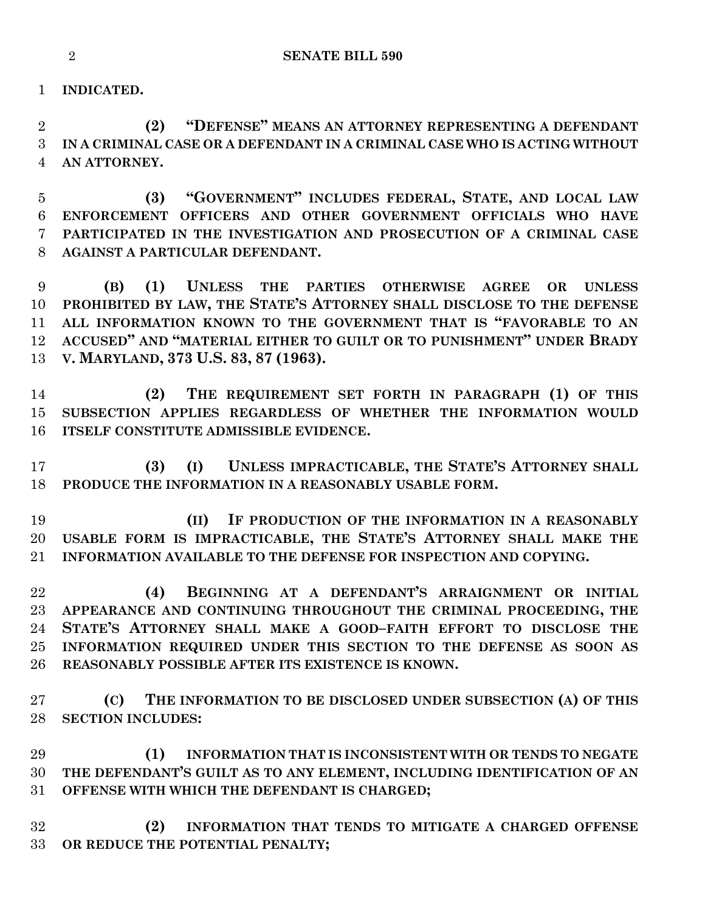**INDICATED.**

 **(2) "DEFENSE" MEANS AN ATTORNEY REPRESENTING A DEFENDANT IN A CRIMINAL CASE OR A DEFENDANT IN A CRIMINAL CASE WHO IS ACTING WITHOUT AN ATTORNEY.**

 **(3) "GOVERNMENT" INCLUDES FEDERAL, STATE, AND LOCAL LAW ENFORCEMENT OFFICERS AND OTHER GOVERNMENT OFFICIALS WHO HAVE PARTICIPATED IN THE INVESTIGATION AND PROSECUTION OF A CRIMINAL CASE AGAINST A PARTICULAR DEFENDANT.**

 **(B) (1) UNLESS THE PARTIES OTHERWISE AGREE OR UNLESS PROHIBITED BY LAW, THE STATE'S ATTORNEY SHALL DISCLOSE TO THE DEFENSE ALL INFORMATION KNOWN TO THE GOVERNMENT THAT IS "FAVORABLE TO AN ACCUSED" AND "MATERIAL EITHER TO GUILT OR TO PUNISHMENT" UNDER BRADY V. MARYLAND, 373 U.S. 83, 87 (1963).**

 **(2) THE REQUIREMENT SET FORTH IN PARAGRAPH (1) OF THIS SUBSECTION APPLIES REGARDLESS OF WHETHER THE INFORMATION WOULD ITSELF CONSTITUTE ADMISSIBLE EVIDENCE.**

 **(3) (I) UNLESS IMPRACTICABLE, THE STATE'S ATTORNEY SHALL PRODUCE THE INFORMATION IN A REASONABLY USABLE FORM.**

 **(II) IF PRODUCTION OF THE INFORMATION IN A REASONABLY USABLE FORM IS IMPRACTICABLE, THE STATE'S ATTORNEY SHALL MAKE THE INFORMATION AVAILABLE TO THE DEFENSE FOR INSPECTION AND COPYING.**

 **(4) BEGINNING AT A DEFENDANT'S ARRAIGNMENT OR INITIAL APPEARANCE AND CONTINUING THROUGHOUT THE CRIMINAL PROCEEDING, THE STATE'S ATTORNEY SHALL MAKE A GOOD–FAITH EFFORT TO DISCLOSE THE INFORMATION REQUIRED UNDER THIS SECTION TO THE DEFENSE AS SOON AS REASONABLY POSSIBLE AFTER ITS EXISTENCE IS KNOWN.**

 **(C) THE INFORMATION TO BE DISCLOSED UNDER SUBSECTION (A) OF THIS SECTION INCLUDES:**

 **(1) INFORMATION THAT IS INCONSISTENT WITH OR TENDS TO NEGATE THE DEFENDANT'S GUILT AS TO ANY ELEMENT, INCLUDING IDENTIFICATION OF AN OFFENSE WITH WHICH THE DEFENDANT IS CHARGED;**

 **(2) INFORMATION THAT TENDS TO MITIGATE A CHARGED OFFENSE OR REDUCE THE POTENTIAL PENALTY;**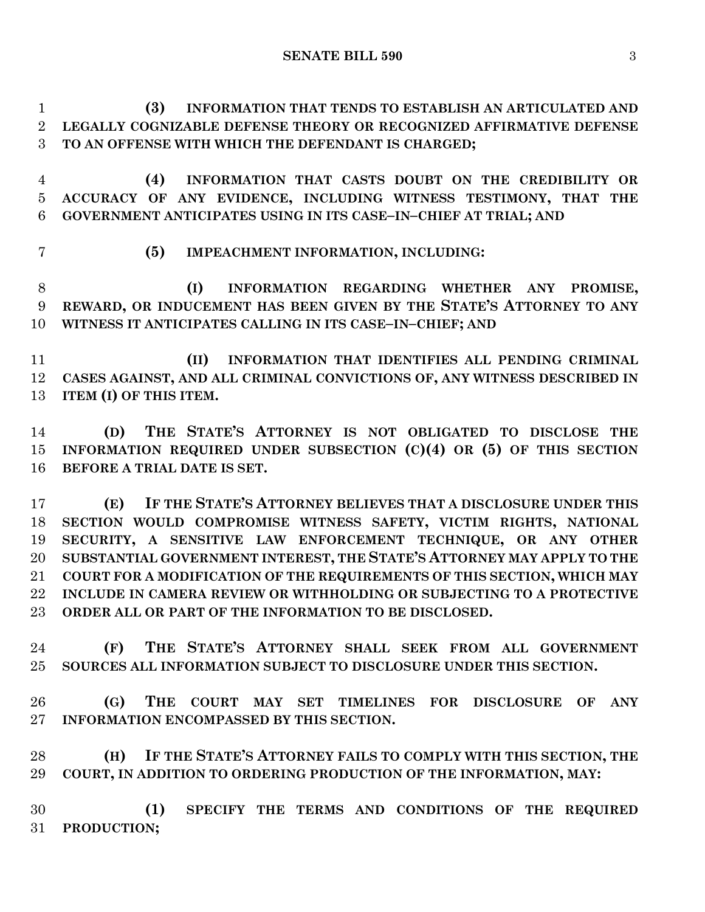**SENATE BILL 590** 3

 **(3) INFORMATION THAT TENDS TO ESTABLISH AN ARTICULATED AND LEGALLY COGNIZABLE DEFENSE THEORY OR RECOGNIZED AFFIRMATIVE DEFENSE TO AN OFFENSE WITH WHICH THE DEFENDANT IS CHARGED;**

 **(4) INFORMATION THAT CASTS DOUBT ON THE CREDIBILITY OR ACCURACY OF ANY EVIDENCE, INCLUDING WITNESS TESTIMONY, THAT THE GOVERNMENT ANTICIPATES USING IN ITS CASE–IN–CHIEF AT TRIAL; AND**

**(5) IMPEACHMENT INFORMATION, INCLUDING:**

 **(I) INFORMATION REGARDING WHETHER ANY PROMISE, REWARD, OR INDUCEMENT HAS BEEN GIVEN BY THE STATE'S ATTORNEY TO ANY WITNESS IT ANTICIPATES CALLING IN ITS CASE–IN–CHIEF; AND** 

 **(II) INFORMATION THAT IDENTIFIES ALL PENDING CRIMINAL CASES AGAINST, AND ALL CRIMINAL CONVICTIONS OF, ANY WITNESS DESCRIBED IN ITEM (I) OF THIS ITEM.**

 **(D) THE STATE'S ATTORNEY IS NOT OBLIGATED TO DISCLOSE THE INFORMATION REQUIRED UNDER SUBSECTION (C)(4) OR (5) OF THIS SECTION BEFORE A TRIAL DATE IS SET.**

 **(E) IF THE STATE'S ATTORNEY BELIEVES THAT A DISCLOSURE UNDER THIS SECTION WOULD COMPROMISE WITNESS SAFETY, VICTIM RIGHTS, NATIONAL SECURITY, A SENSITIVE LAW ENFORCEMENT TECHNIQUE, OR ANY OTHER SUBSTANTIAL GOVERNMENT INTEREST, THE STATE'S ATTORNEY MAY APPLY TO THE COURT FOR A MODIFICATION OF THE REQUIREMENTS OF THIS SECTION, WHICH MAY INCLUDE IN CAMERA REVIEW OR WITHHOLDING OR SUBJECTING TO A PROTECTIVE ORDER ALL OR PART OF THE INFORMATION TO BE DISCLOSED.**

 **(F) THE STATE'S ATTORNEY SHALL SEEK FROM ALL GOVERNMENT SOURCES ALL INFORMATION SUBJECT TO DISCLOSURE UNDER THIS SECTION.**

 **(G) THE COURT MAY SET TIMELINES FOR DISCLOSURE OF ANY INFORMATION ENCOMPASSED BY THIS SECTION.**

 **(H) IF THE STATE'S ATTORNEY FAILS TO COMPLY WITH THIS SECTION, THE COURT, IN ADDITION TO ORDERING PRODUCTION OF THE INFORMATION, MAY:**

 **(1) SPECIFY THE TERMS AND CONDITIONS OF THE REQUIRED PRODUCTION;**